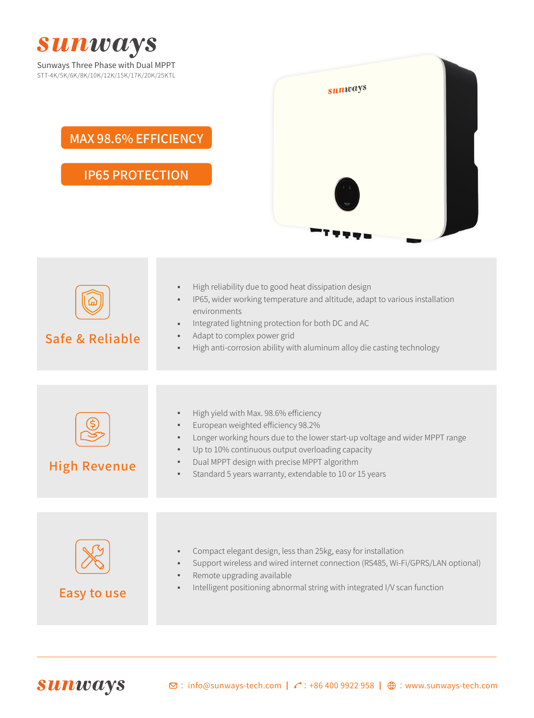

| Safe & Reliable     | High reliability due to good heat dissipation design<br>$\bullet$<br>IP65, wider working temperature and altitude, adapt to various installation<br>$\bullet$<br>environments<br>Integrated lightning protection for both DC and AC<br>$\bullet$<br>Adapt to complex power grid<br>$\bullet$<br>High anti-corrosion ability with aluminum alloy die casting technology<br>$\bullet$        |
|---------------------|--------------------------------------------------------------------------------------------------------------------------------------------------------------------------------------------------------------------------------------------------------------------------------------------------------------------------------------------------------------------------------------------|
|                     |                                                                                                                                                                                                                                                                                                                                                                                            |
| <b>High Revenue</b> | High yield with Max. 98.6% efficiency<br>$\bullet$<br>European weighted efficiency 98.2%<br>$\bullet$<br>Longer working hours due to the lower start-up voltage and wider MPPT range<br>$\bullet$<br>Up to 10% continuous output overloading capacity<br>$\bullet$<br>Dual MPPT design with precise MPPT algorithm<br>Standard 5 years warranty, extendable to 10 or 15 years<br>$\bullet$ |
|                     |                                                                                                                                                                                                                                                                                                                                                                                            |
| <b>Easy to use</b>  | Compact elegant design, less than 25kg, easy for installation<br>$\bullet$<br>Support wireless and wired internet connection (RS485, Wi-Fi/GPRS/LAN optional)<br>$\bullet$<br>Remote upgrading available<br>$\bullet$<br>Intelligent positioning abnormal string with integrated I/V scan function                                                                                         |